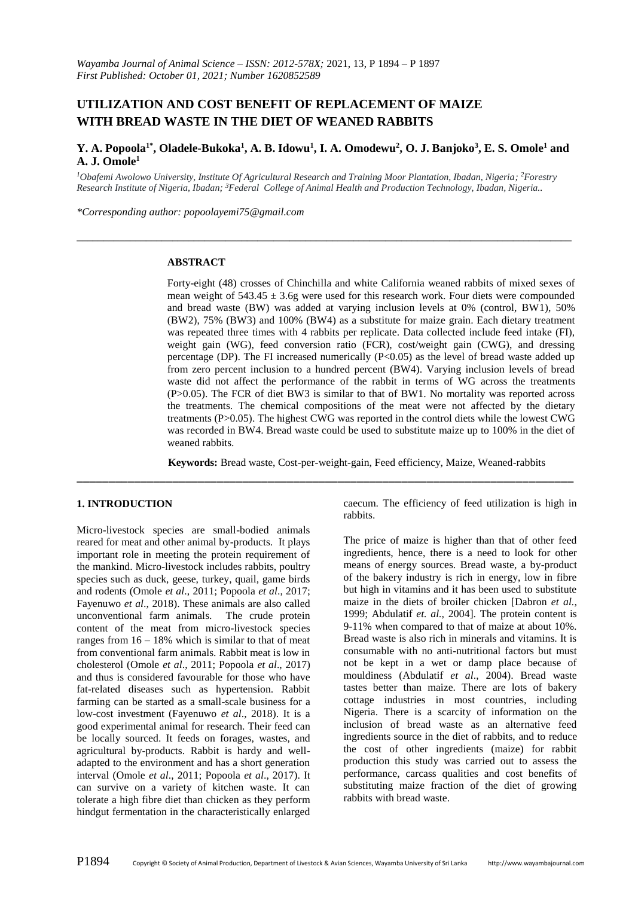# **UTILIZATION AND COST BENEFIT OF REPLACEMENT OF MAIZE WITH BREAD WASTE IN THE DIET OF WEANED RABBITS**

# **Y. A. Popoola1\* , Oladele-Bukoka 1 , A. B. Idowu<sup>1</sup> , I. A. Omodewu<sup>2</sup> , O. J. Banjoko<sup>3</sup> , E. S. Omole<sup>1</sup> and A. J. Omole<sup>1</sup>**

*\_\_\_\_\_\_\_\_\_\_\_\_\_\_\_\_\_\_\_\_\_\_\_\_\_\_\_\_\_\_\_\_\_\_\_\_\_\_\_\_\_\_\_\_\_\_\_\_\_\_\_\_\_\_\_\_\_\_\_\_\_\_\_\_\_\_\_\_\_\_\_\_\_\_\_\_\_\_\_\_\_\_\_\_\_\_\_\_\_\_\_\_\_*

*<sup>1</sup>Obafemi Awolowo University, Institute Of Agricultural Research and Training Moor Plantation, Ibadan, Nigeria; <sup>2</sup>Forestry Research Institute of Nigeria, Ibadan; <sup>3</sup>Federal College of Animal Health and Production Technology, Ibadan, Nigeria..*

*\*Corresponding author: popoolayemi75@gmail.com*

#### **ABSTRACT**

Forty-eight (48) crosses of Chinchilla and white California weaned rabbits of mixed sexes of mean weight of  $543.45 \pm 3.6$ g were used for this research work. Four diets were compounded and bread waste (BW) was added at varying inclusion levels at 0% (control, BW1), 50% (BW2), 75% (BW3) and 100% (BW4) as a substitute for maize grain. Each dietary treatment was repeated three times with 4 rabbits per replicate. Data collected include feed intake (FI), weight gain (WG), feed conversion ratio (FCR), cost/weight gain (CWG), and dressing percentage (DP). The FI increased numerically  $(P<0.05)$  as the level of bread waste added up from zero percent inclusion to a hundred percent (BW4). Varying inclusion levels of bread waste did not affect the performance of the rabbit in terms of WG across the treatments (P>0.05). The FCR of diet BW3 is similar to that of BW1. No mortality was reported across the treatments. The chemical compositions of the meat were not affected by the dietary treatments (P>0.05). The highest CWG was reported in the control diets while the lowest CWG was recorded in BW4. Bread waste could be used to substitute maize up to 100% in the diet of weaned rabbits.

**Keywords:** Bread waste, Cost-per-weight-gain, Feed efficiency, Maize, Weaned-rabbits

\_\_\_\_\_\_\_\_\_\_\_\_\_\_\_\_\_\_\_\_\_\_\_\_\_\_\_\_\_\_\_\_\_\_\_\_\_\_\_\_\_\_\_\_\_\_\_\_\_\_\_\_\_\_\_\_\_\_\_\_\_\_\_\_\_\_\_\_\_\_\_\_\_\_\_\_\_\_

#### **1. INTRODUCTION**

Micro-livestock species are small-bodied animals reared for meat and other animal by-products. It plays important role in meeting the protein requirement of the mankind. Micro-livestock includes rabbits, poultry species such as duck, geese, turkey, quail, game birds and rodents (Omole *et al*., 2011; Popoola *et al*., 2017; Fayenuwo *et al*., 2018). These animals are also called unconventional farm animals. The crude protein content of the meat from micro-livestock species ranges from  $16 - 18\%$  which is similar to that of meat from conventional farm animals. Rabbit meat is low in cholesterol (Omole *et al*., 2011; Popoola *et al*., 2017) and thus is considered favourable for those who have fat-related diseases such as hypertension. Rabbit farming can be started as a small-scale business for a low-cost investment (Fayenuwo *et al*., 2018). It is a good experimental animal for research. Their feed can be locally sourced. It feeds on forages, wastes, and agricultural by-products. Rabbit is hardy and welladapted to the environment and has a short generation interval (Omole *et al*., 2011; Popoola *et al*., 2017). It can survive on a variety of kitchen waste. It can tolerate a high fibre diet than chicken as they perform hindgut fermentation in the characteristically enlarged

caecum. The efficiency of feed utilization is high in rabbits.

The price of maize is higher than that of other feed ingredients, hence, there is a need to look for other means of energy sources. Bread waste, a by-product of the bakery industry is rich in energy, low in fibre but high in vitamins and it has been used to substitute maize in the diets of broiler chicken [Dabron *et al.,* 1999; Abdulatif *et. al.,* 2004]. The protein content is 9-11% when compared to that of maize at about 10%. Bread waste is also rich in minerals and vitamins. It is consumable with no anti-nutritional factors but must not be kept in a wet or damp place because of mouldiness (Abdulatif *et al*., 2004). Bread waste tastes better than maize. There are lots of bakery cottage industries in most countries, including Nigeria. There is a scarcity of information on the inclusion of bread waste as an alternative feed ingredients source in the diet of rabbits, and to reduce the cost of other ingredients (maize) for rabbit production this study was carried out to assess the performance, carcass qualities and cost benefits of substituting maize fraction of the diet of growing rabbits with bread waste.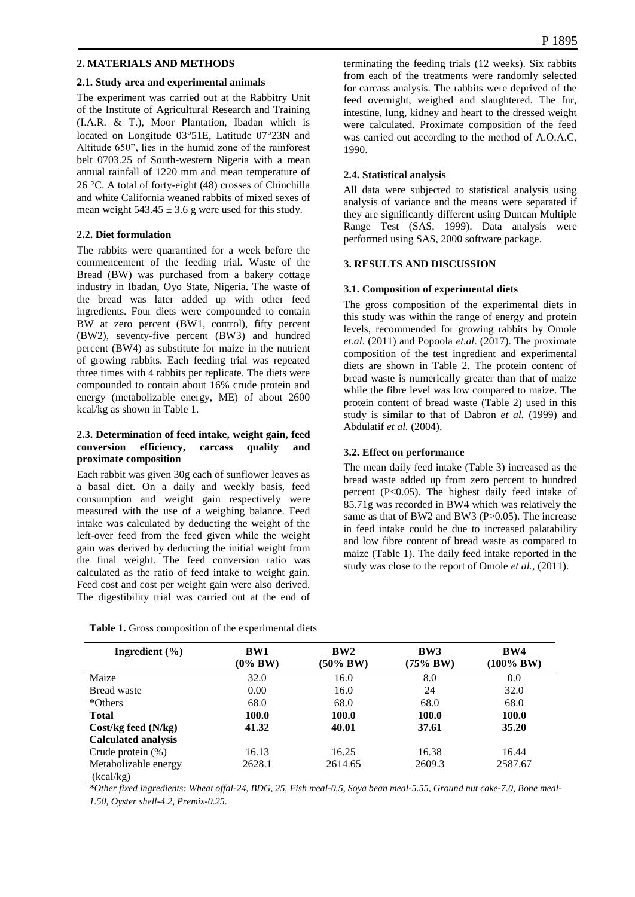## **2. MATERIALS AND METHODS**

#### **2.1. Study area and experimental animals**

The experiment was carried out at the Rabbitry Unit of the Institute of Agricultural Research and Training (I.A.R. & T.), Moor Plantation, Ibadan which is located on Longitude  $03^{\circ}51E$ , Latitude  $07^{\circ}23N$  and Altitude 650", lies in the humid zone of the rainforest belt 0703.25 of South-western Nigeria with a mean annual rainfall of 1220 mm and mean temperature of 26 °C. A total of forty-eight (48) crosses of Chinchilla and white California weaned rabbits of mixed sexes of mean weight  $543.45 \pm 3.6$  g were used for this study.

#### **2.2. Diet formulation**

The rabbits were quarantined for a week before the commencement of the feeding trial. Waste of the Bread (BW) was purchased from a bakery cottage industry in Ibadan, Oyo State, Nigeria. The waste of the bread was later added up with other feed ingredients. Four diets were compounded to contain BW at zero percent (BW1, control), fifty percent (BW2), seventy-five percent (BW3) and hundred percent (BW4) as substitute for maize in the nutrient of growing rabbits. Each feeding trial was repeated three times with 4 rabbits per replicate. The diets were compounded to contain about 16% crude protein and energy (metabolizable energy, ME) of about 2600 kcal/kg as shown in Table 1.

## **2.3. Determination of feed intake, weight gain, feed conversion efficiency, carcass quality and proximate composition**

Each rabbit was given 30g each of sunflower leaves as a basal diet. On a daily and weekly basis, feed consumption and weight gain respectively were measured with the use of a weighing balance. Feed intake was calculated by deducting the weight of the left-over feed from the feed given while the weight gain was derived by deducting the initial weight from the final weight. The feed conversion ratio was calculated as the ratio of feed intake to weight gain. Feed cost and cost per weight gain were also derived. The digestibility trial was carried out at the end of

|  |  |  |  | Table 1. Gross composition of the experimental diets |  |
|--|--|--|--|------------------------------------------------------|--|
|--|--|--|--|------------------------------------------------------|--|

terminating the feeding trials (12 weeks). Six rabbits from each of the treatments were randomly selected for carcass analysis. The rabbits were deprived of the feed overnight, weighed and slaughtered. The fur, intestine, lung, kidney and heart to the dressed weight were calculated. Proximate composition of the feed was carried out according to the method of A.O.A.C, 1990.

## **2.4. Statistical analysis**

All data were subjected to statistical analysis using analysis of variance and the means were separated if they are significantly different using Duncan Multiple Range Test (SAS, 1999). Data analysis were performed using SAS, 2000 software package.

#### **3. RESULTS AND DISCUSSION**

#### **3.1. Composition of experimental diets**

The gross composition of the experimental diets in this study was within the range of energy and protein levels, recommended for growing rabbits by Omole *et.al*. (2011) and Popoola *et.al*. (2017). The proximate composition of the test ingredient and experimental diets are shown in Table 2. The protein content of bread waste is numerically greater than that of maize while the fibre level was low compared to maize. The protein content of bread waste (Table 2) used in this study is similar to that of Dabron *et al.* (1999) and Abdulatif *et al.* (2004).

## **3.2. Effect on performance**

The mean daily feed intake (Table 3) increased as the bread waste added up from zero percent to hundred percent (P<0.05). The highest daily feed intake of 85.71g was recorded in BW4 which was relatively the same as that of BW2 and BW3 (P>0.05). The increase in feed intake could be due to increased palatability and low fibre content of bread waste as compared to maize (Table 1). The daily feed intake reported in the study was close to the report of Omole *et al.,* (2011).

| Ingredient $(\% )$                | BW1<br>$(0\%$ BW) | BW2<br>$(50\% \,BW)$ | BW3<br>$(75\% \,BW)$ | BW4<br>$(100\% \, BW)$ |
|-----------------------------------|-------------------|----------------------|----------------------|------------------------|
| Maize                             | 32.0              | 16.0                 | 8.0                  | 0.0                    |
| Bread waste                       | 0.00              | 16.0                 | 24                   | 32.0                   |
| *Others                           | 68.0              | 68.0                 | 68.0                 | 68.0                   |
| <b>Total</b>                      | 100.0             | 100.0                | 100.0                | 100.0                  |
| $Cost/kg$ feed $(N/kg)$           | 41.32             | 40.01                | 37.61                | 35.20                  |
| <b>Calculated analysis</b>        |                   |                      |                      |                        |
| Crude protein $(\%)$              | 16.13             | 16.25                | 16.38                | 16.44                  |
| Metabolizable energy<br>(kcal/kg) | 2628.1            | 2614.65              | 2609.3               | 2587.67                |

*\*Other fixed ingredients: Wheat offal-24, BDG, 25, Fish meal-0.5, Soya bean meal-5.55, Ground nut cake-7.0, Bone meal-1.50, Oyster shell-4.2, Premix-0.25.*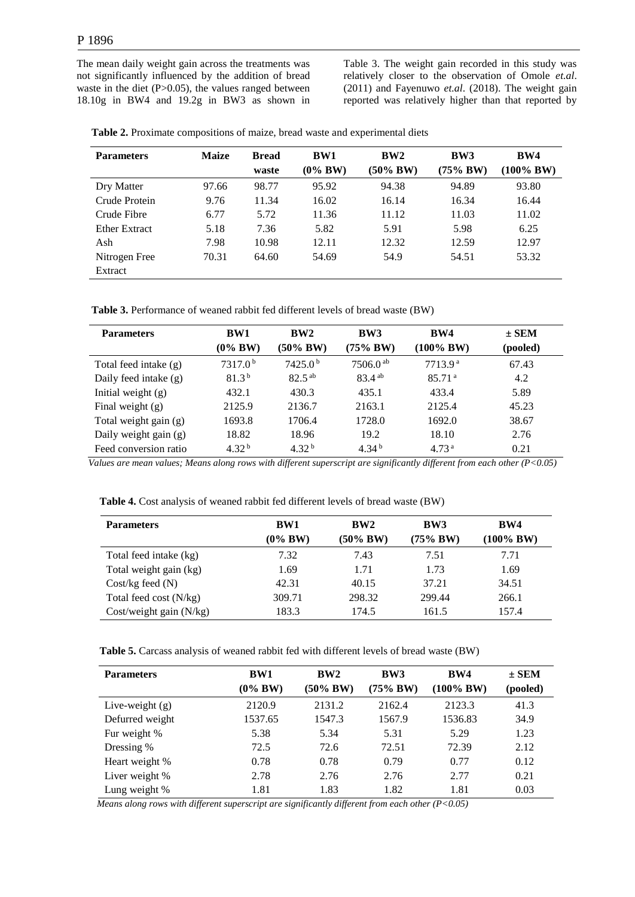The mean daily weight gain across the treatments was not significantly influenced by the addition of bread waste in the diet  $(P>0.05)$ , the values ranged between 18.10g in BW4 and 19.2g in BW3 as shown in

Table 3. The weight gain recorded in this study was relatively closer to the observation of Omole *et.al*. (2011) and Fayenuwo *et.al*. (2018). The weight gain reported was relatively higher than that reported by

| Table 2. Proximate compositions of maize, bread waste and experimental diets |
|------------------------------------------------------------------------------|
|------------------------------------------------------------------------------|

| <b>Parameters</b>    | <b>Maize</b> | <b>Bread</b> | <b>BW1</b> | BW2           | BW3           | BW4          |
|----------------------|--------------|--------------|------------|---------------|---------------|--------------|
|                      |              | waste        | $(0\%$ BW) | $(50\% \,BW)$ | $(75\% \,BW)$ | $(100\%~BW)$ |
| Dry Matter           | 97.66        | 98.77        | 95.92      | 94.38         | 94.89         | 93.80        |
| Crude Protein        | 9.76         | 11.34        | 16.02      | 16.14         | 16.34         | 16.44        |
| Crude Fibre          | 6.77         | 5.72         | 11.36      | 11.12         | 11.03         | 11.02        |
| <b>Ether Extract</b> | 5.18         | 7.36         | 5.82       | 5.91          | 5.98          | 6.25         |
| Ash                  | 7.98         | 10.98        | 12.11      | 12.32         | 12.59         | 12.97        |
| Nitrogen Free        | 70.31        | 64.60        | 54.69      | 54.9          | 54.51         | 53.32        |
| Extract              |              |              |            |               |               |              |

 **Table 3.** Performance of weaned rabbit fed different levels of bread waste (BW)

| <b>Parameters</b>     | BW1<br>$(0\%$ BW)   | BW2<br>$(50\% \,BW)$ | BW3<br>$(75\% \,BW)$   | BW4<br>(100% BW)    | $\pm$ SEM<br>(pooled) |
|-----------------------|---------------------|----------------------|------------------------|---------------------|-----------------------|
| Total feed intake (g) | 7317.0 <sup>b</sup> | 7425.0 <sup>b</sup>  | $7506.0$ <sup>ab</sup> | 7713.9 <sup>a</sup> | 67.43                 |
| Daily feed intake (g) | 81.3 <sup>b</sup>   | $82.5^{ab}$          | $83.4^{ab}$            | 85.71 <sup>a</sup>  | 4.2                   |
| Initial weight $(g)$  | 432.1               | 430.3                | 435.1                  | 433.4               | 5.89                  |
| Final weight $(g)$    | 2125.9              | 2136.7               | 2163.1                 | 2125.4              | 45.23                 |
| Total weight gain (g) | 1693.8              | 1706.4               | 1728.0                 | 1692.0              | 38.67                 |
| Daily weight gain (g) | 18.82               | 18.96                | 19.2                   | 18.10               | 2.76                  |
| Feed conversion ratio | 4.32 <sup>b</sup>   | 4.32 <sup>b</sup>    | 4.34 <sup>b</sup>      | 4.73 <sup>a</sup>   | 0.21                  |

 *Values are mean values; Means along rows with different superscript are significantly different from each other (P<0.05)*

| <b>Parameters</b>       | BW1        | BW2      | BW3      | BW4            |
|-------------------------|------------|----------|----------|----------------|
|                         | $(0\%$ BW) | (50% BW) | (75% BW) | $(100\% \,BW)$ |
| Total feed intake (kg)  | 7.32       | 7.43     | 7.51     | 7.71           |
| Total weight gain (kg)  | 1.69       | 1.71     | 1.73     | 1.69           |
| $Cost/kg$ feed $(N)$    | 42.31      | 40.15    | 37.21    | 34.51          |
| Total feed cost (N/kg)  | 309.71     | 298.32   | 299.44   | 266.1          |
| Cost/weight gain (N/kg) | 183.3      | 174.5    | 161.5    | 157.4          |

 **Table 5.** Carcass analysis of weaned rabbit fed with different levels of bread waste (BW)

| <b>Parameters</b> | BW1<br>$(0\%$ BW) | BW2<br>(50% BW) | BW3<br>$(75\%$ BW) | BW4<br>$(100\% \,\,{\rm BW})$ | $\pm$ SEM<br>(pooled) |
|-------------------|-------------------|-----------------|--------------------|-------------------------------|-----------------------|
| Live-weight $(g)$ | 2120.9            | 2131.2          | 2162.4             | 2123.3                        | 41.3                  |
| Defurred weight   | 1537.65           | 1547.3          | 1567.9             | 1536.83                       | 34.9                  |
| Fur weight %      | 5.38              | 5.34            | 5.31               | 5.29                          | 1.23                  |
| Dressing %        | 72.5              | 72.6            | 72.51              | 72.39                         | 2.12                  |
| Heart weight %    | 0.78              | 0.78            | 0.79               | 0.77                          | 0.12                  |
| Liver weight %    | 2.78              | 2.76            | 2.76               | 2.77                          | 0.21                  |
| Lung weight %     | 1.81              | 1.83            | 1.82               | 1.81                          | 0.03                  |

 *Means along rows with different superscript are significantly different from each other (P<0.05)*